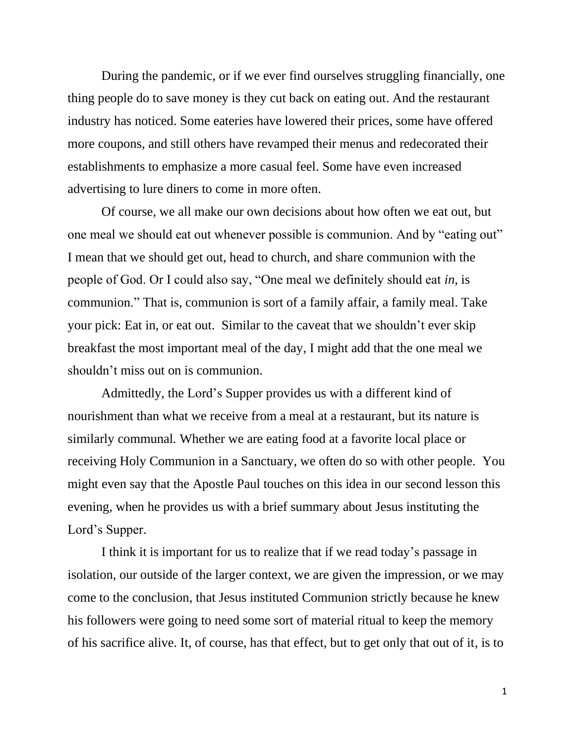During the pandemic, or if we ever find ourselves struggling financially, one thing people do to save money is they cut back on eating out. And the restaurant industry has noticed. Some eateries have lowered their prices, some have offered more coupons, and still others have revamped their menus and redecorated their establishments to emphasize a more casual feel. Some have even increased advertising to lure diners to come in more often.

Of course, we all make our own decisions about how often we eat out, but one meal we should eat out whenever possible is communion. And by "eating out" I mean that we should get out, head to church, and share communion with the people of God. Or I could also say, "One meal we definitely should eat *in*, is communion." That is, communion is sort of a family affair, a family meal. Take your pick: Eat in, or eat out. Similar to the caveat that we shouldn't ever skip breakfast the most important meal of the day, I might add that the one meal we shouldn't miss out on is communion.

Admittedly, the Lord's Supper provides us with a different kind of nourishment than what we receive from a meal at a restaurant, but its nature is similarly communal*.* Whether we are eating food at a favorite local place or receiving Holy Communion in a Sanctuary, we often do so with other people. You might even say that the Apostle Paul touches on this idea in our second lesson this evening, when he provides us with a brief summary about Jesus instituting the Lord's Supper.

I think it is important for us to realize that if we read today's passage in isolation, our outside of the larger context, we are given the impression, or we may come to the conclusion, that Jesus instituted Communion strictly because he knew his followers were going to need some sort of material ritual to keep the memory of his sacrifice alive. It, of course, has that effect, but to get only that out of it, is to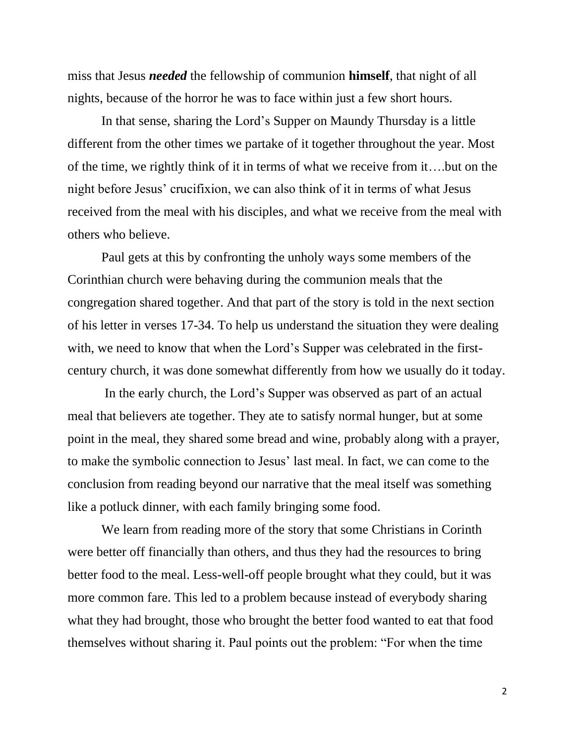miss that Jesus *needed* the fellowship of communion **himself**, that night of all nights, because of the horror he was to face within just a few short hours.

In that sense, sharing the Lord's Supper on Maundy Thursday is a little different from the other times we partake of it together throughout the year. Most of the time, we rightly think of it in terms of what we receive from it….but on the night before Jesus' crucifixion, we can also think of it in terms of what Jesus received from the meal with his disciples, and what we receive from the meal with others who believe.

Paul gets at this by confronting the unholy ways some members of the Corinthian church were behaving during the communion meals that the congregation shared together. And that part of the story is told in the next section of his letter in verses 17-34. To help us understand the situation they were dealing with, we need to know that when the Lord's Supper was celebrated in the firstcentury church, it was done somewhat differently from how we usually do it today.

In the early church, the Lord's Supper was observed as part of an actual meal that believers ate together. They ate to satisfy normal hunger, but at some point in the meal, they shared some bread and wine, probably along with a prayer, to make the symbolic connection to Jesus' last meal. In fact, we can come to the conclusion from reading beyond our narrative that the meal itself was something like a potluck dinner, with each family bringing some food.

We learn from reading more of the story that some Christians in Corinth were better off financially than others, and thus they had the resources to bring better food to the meal. Less-well-off people brought what they could, but it was more common fare. This led to a problem because instead of everybody sharing what they had brought, those who brought the better food wanted to eat that food themselves without sharing it. Paul points out the problem: "For when the time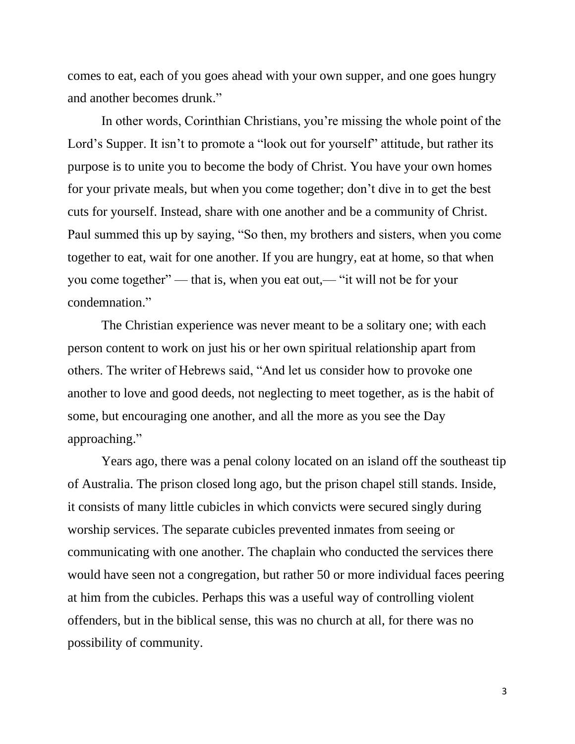comes to eat, each of you goes ahead with your own supper, and one goes hungry and another becomes drunk."

In other words, Corinthian Christians, you're missing the whole point of the Lord's Supper. It isn't to promote a "look out for yourself" attitude, but rather its purpose is to unite you to become the body of Christ. You have your own homes for your private meals, but when you come together; don't dive in to get the best cuts for yourself. Instead, share with one another and be a community of Christ. Paul summed this up by saying, "So then, my brothers and sisters, when you come together to eat, wait for one another. If you are hungry, eat at home, so that when you come together" — that is, when you eat out,— "it will not be for your condemnation."

The Christian experience was never meant to be a solitary one; with each person content to work on just his or her own spiritual relationship apart from others. The writer of Hebrews said, "And let us consider how to provoke one another to love and good deeds, not neglecting to meet together, as is the habit of some, but encouraging one another, and all the more as you see the Day approaching."

Years ago, there was a penal colony located on an island off the southeast tip of Australia. The prison closed long ago, but the prison chapel still stands. Inside, it consists of many little cubicles in which convicts were secured singly during worship services. The separate cubicles prevented inmates from seeing or communicating with one another. The chaplain who conducted the services there would have seen not a congregation, but rather 50 or more individual faces peering at him from the cubicles. Perhaps this was a useful way of controlling violent offenders, but in the biblical sense, this was no church at all, for there was no possibility of community.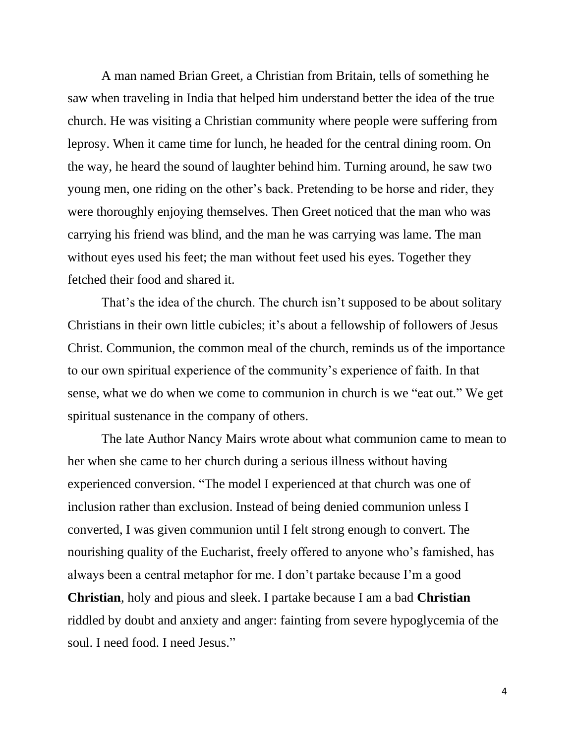A man named Brian Greet, a Christian from Britain, tells of something he saw when traveling in India that helped him understand better the idea of the true church. He was visiting a Christian community where people were suffering from leprosy. When it came time for lunch, he headed for the central dining room. On the way, he heard the sound of laughter behind him. Turning around, he saw two young men, one riding on the other's back. Pretending to be horse and rider, they were thoroughly enjoying themselves. Then Greet noticed that the man who was carrying his friend was blind, and the man he was carrying was lame. The man without eyes used his feet; the man without feet used his eyes. Together they fetched their food and shared it.

That's the idea of the church. The church isn't supposed to be about solitary Christians in their own little cubicles; it's about a fellowship of followers of Jesus Christ. Communion, the common meal of the church, reminds us of the importance to our own spiritual experience of the community's experience of faith. In that sense, what we do when we come to communion in church is we "eat out." We get spiritual sustenance in the company of others.

The late Author Nancy Mairs wrote about what communion came to mean to her when she came to her church during a serious illness without having experienced conversion. "The model I experienced at that church was one of inclusion rather than exclusion. Instead of being denied communion unless I converted, I was given communion until I felt strong enough to convert. The nourishing quality of the Eucharist, freely offered to anyone who's famished, has always been a central metaphor for me. I don't partake because I'm a good **Christian**, holy and pious and sleek. I partake because I am a bad **Christian** riddled by doubt and anxiety and anger: fainting from severe hypoglycemia of the soul. I need food. I need Jesus."